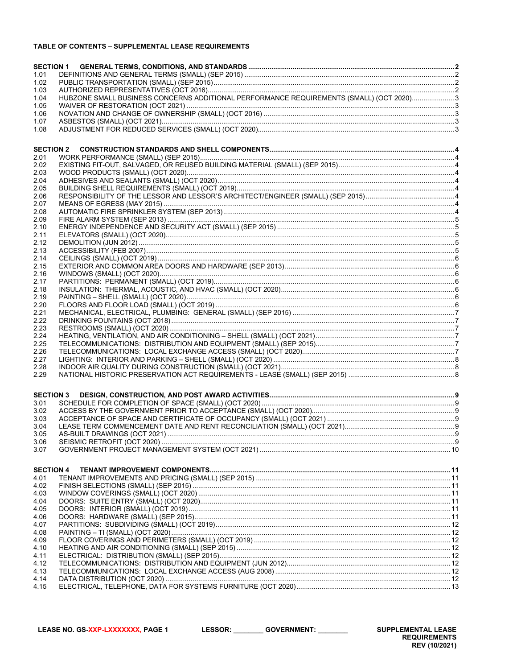# TABLE OF CONTENTS - SUPPLEMENTAL LEASE REQUIREMENTS

| <b>SECTION 1</b> |                                                                                         |  |
|------------------|-----------------------------------------------------------------------------------------|--|
| 1.01             |                                                                                         |  |
| 1.02             |                                                                                         |  |
| 1.03             |                                                                                         |  |
| 1.04             | HUBZONE SMALL BUSINESS CONCERNS ADDITIONAL PERFORMANCE REQUIREMENTS (SMALL) (OCT 2020)3 |  |
| 1.05             |                                                                                         |  |
| 1.06             |                                                                                         |  |
| 1.07<br>1.08     |                                                                                         |  |
|                  |                                                                                         |  |
|                  |                                                                                         |  |
| <b>SECTION 2</b> |                                                                                         |  |
| 2.01<br>2.02     |                                                                                         |  |
| 2.03             |                                                                                         |  |
| 2.04             |                                                                                         |  |
| 2.05             |                                                                                         |  |
| 2.06             |                                                                                         |  |
| 2.07             |                                                                                         |  |
| 2.08             |                                                                                         |  |
| 2.09             |                                                                                         |  |
| 2.10             |                                                                                         |  |
| 2.11<br>2.12     |                                                                                         |  |
| 2.13             |                                                                                         |  |
| 2.14             |                                                                                         |  |
| 2.15             |                                                                                         |  |
| 2.16             |                                                                                         |  |
| 2.17             |                                                                                         |  |
| 2.18             |                                                                                         |  |
| 2.19             |                                                                                         |  |
| 2.20             |                                                                                         |  |
| 2.21<br>2.22     |                                                                                         |  |
| 2.23             |                                                                                         |  |
| 2.24             |                                                                                         |  |
| 2.25             |                                                                                         |  |
| 2.26             |                                                                                         |  |
| 2.27             |                                                                                         |  |
| 2.28             |                                                                                         |  |
| 2.29             |                                                                                         |  |
|                  |                                                                                         |  |
| <b>SECTION 3</b> |                                                                                         |  |
| 3.01             |                                                                                         |  |
| 3.02<br>3.03     |                                                                                         |  |
| 3.04             |                                                                                         |  |
| 3.05             |                                                                                         |  |
| 3.06             |                                                                                         |  |
| 3.07             |                                                                                         |  |
|                  |                                                                                         |  |
| <b>SECTION 4</b> |                                                                                         |  |
| 4.01             |                                                                                         |  |
| 4.02             |                                                                                         |  |
| 4.03             |                                                                                         |  |
| 4.04             |                                                                                         |  |
| 4.05             |                                                                                         |  |
| 4.06<br>4.07     |                                                                                         |  |
| 4.08             |                                                                                         |  |
| 4.09             |                                                                                         |  |
| 4.10             |                                                                                         |  |
| 4.11             |                                                                                         |  |
| 4.12             |                                                                                         |  |
| 4.13             |                                                                                         |  |
| 4.14             |                                                                                         |  |
| 4.15             |                                                                                         |  |

LESSOR: \_\_\_\_\_\_\_\_\_ GOVERNMENT: \_\_\_\_\_\_\_\_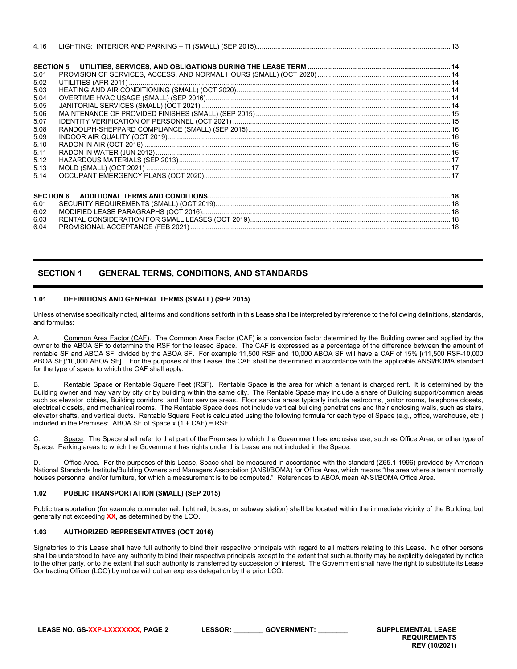| 4.16 |                  |  |
|------|------------------|--|
|      |                  |  |
| 5.01 |                  |  |
| 5.02 |                  |  |
| 5.03 |                  |  |
| 5.04 |                  |  |
| 5.05 |                  |  |
| 5.06 |                  |  |
| 5.07 |                  |  |
| 5.08 |                  |  |
| 5.09 |                  |  |
| 5.10 |                  |  |
| 5.11 |                  |  |
| 5.12 |                  |  |
| 5.13 |                  |  |
| 5.14 |                  |  |
|      |                  |  |
|      | <b>SECTION 6</b> |  |
| 6.01 |                  |  |
| 6.02 |                  |  |
| 6.03 |                  |  |

6.04 PROVISIONAL ACCEPTANCE (FEB 2021) [.......................................................................................................................................18](#page-17-4)

# <span id="page-1-0"></span>**SECTION 1 GENERAL TERMS, CONDITIONS, AND STANDARDS**

## <span id="page-1-1"></span>**1.01 DEFINITIONS AND GENERAL TERMS (SMALL) (SEP 2015)**

Unless otherwise specifically noted, all terms and conditions set forth in this Lease shall be interpreted by reference to the following definitions, standards, and formulas:

A. Common Area Factor (CAF). The Common Area Factor (CAF) is a conversion factor determined by the Building owner and applied by the owner to the ABOA SF to determine the RSF for the leased Space. The CAF is expressed as a percentage of the difference between the amount of rentable SF and ABOA SF, divided by the ABOA SF. For example 11,500 RSF and 10,000 ABOA SF will have a CAF of 15% [(11,500 RSF-10,000 ABOA SF)/10,000 ABOA SF]. For the purposes of this Lease, the CAF shall be determined in accordance with the applicable ANSI**/**BOMA standard for the type of space to which the CAF shall apply.

B. Rentable Space or Rentable Square Feet (RSF). Rentable Space is the area for which a tenant is charged rent. It is determined by the Building owner and may vary by city or by building within the same city. The Rentable Space may include a share of Building support/common areas such as elevator lobbies, Building corridors, and floor service areas. Floor service areas typically include restrooms, janitor rooms, telephone closets, electrical closets, and mechanical rooms. The Rentable Space does not include vertical building penetrations and their enclosing walls, such as stairs, elevator shafts, and vertical ducts. Rentable Square Feet is calculated using the following formula for each type of Space (e.g., office, warehouse, etc.) included in the Premises: ABOA SF of Space  $x$  (1 + CAF) = RSF.

Space. The Space shall refer to that part of the Premises to which the Government has exclusive use, such as Office Area, or other type of Space. Parking areas to which the Government has rights under this Lease are not included in the Space.

D. Office Area. For the purposes of this Lease, Space shall be measured in accordance with the standard (Z65.1-1996) provided by American National Standards Institute**/**Building Owners and Managers Association (ANSI**/**BOMA) for Office Area, which means "the area where a tenant normally houses personnel and/or furniture, for which a measurement is to be computed." References to ABOA mean ANSI**/**BOMA Office Area.

## <span id="page-1-2"></span>**1.02 PUBLIC TRANSPORTATION (SMALL) (SEP 2015)**

Public transportation (for example commuter rail, light rail, buses, or subway station) shall be located within the immediate vicinity of the Building, but generally not exceeding **XX**, as determined by the LCO.

## <span id="page-1-3"></span>**1.03 AUTHORIZED REPRESENTATIVES (OCT 2016)**

Signatories to this Lease shall have full authority to bind their respective principals with regard to all matters relating to this Lease. No other persons shall be understood to have any authority to bind their respective principals except to the extent that such authority may be explicitly delegated by notice to the other party, or to the extent that such authority is transferred by succession of interest. The Government shall have the right to substitute its Lease Contracting Officer (LCO) by notice without an express delegation by the prior LCO.

**LEASE NO. GS-XXP-LXXXXXXX, PAGE 2 LESSOR: \_\_\_\_\_\_\_\_ GOVERNMENT: \_\_\_\_\_\_\_\_ SUPPLEMENTAL LEASE**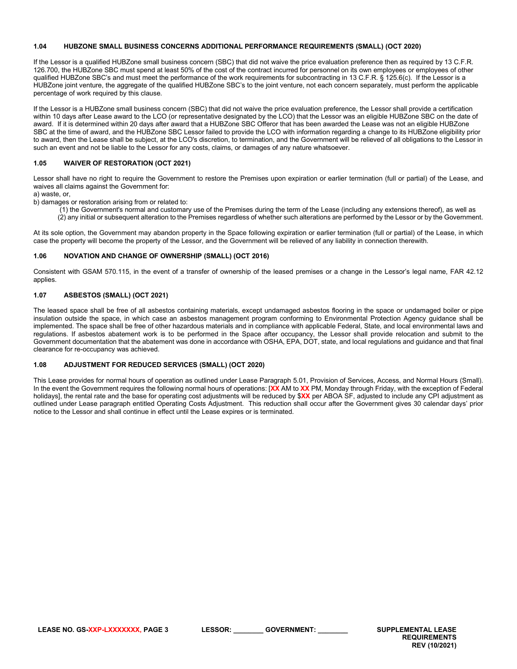## <span id="page-2-0"></span>**1.04 HUBZONE SMALL BUSINESS CONCERNS ADDITIONAL PERFORMANCE REQUIREMENTS (SMALL) (OCT 2020)**

If the Lessor is a qualified HUBZone small business concern (SBC) that did not waive the price evaluation preference then as required by 13 C.F.R. 126.700, the HUBZone SBC must spend at least 50% of the cost of the contract incurred for personnel on its own employees or employees of other qualified HUBZone SBC's and must meet the performance of the work requirements for subcontracting in 13 C.F.R. § 125.6(c). If the Lessor is a HUBZone joint venture, the aggregate of the qualified HUBZone SBC's to the joint venture, not each concern separately, must perform the applicable percentage of work required by this clause.

If the Lessor is a HUBZone small business concern (SBC) that did not waive the price evaluation preference, the Lessor shall provide a certification within 10 days after Lease award to the LCO (or representative designated by the LCO) that the Lessor was an eligible HUBZone SBC on the date of award. If it is determined within 20 days after award that a HUBZone SBC Offeror that has been awarded the Lease was not an eligible HUBZone SBC at the time of award, and the HUBZone SBC Lessor failed to provide the LCO with information regarding a change to its HUBZone eligibility prior to award, then the Lease shall be subject, at the LCO's discretion, to termination, and the Government will be relieved of all obligations to the Lessor in such an event and not be liable to the Lessor for any costs, claims, or damages of any nature whatsoever.

## <span id="page-2-1"></span>**1.05 WAIVER OF RESTORATION (OCT 2021)**

Lessor shall have no right to require the Government to restore the Premises upon expiration or earlier termination (full or partial) of the Lease, and waives all claims against the Government for:

a) waste, or,

b) damages or restoration arising from or related to:

(1) the Government's normal and customary use of the Premises during the term of the Lease (including any extensions thereof), as well as (2) any initial or subsequent alteration to the Premises regardless of whether such alterations are performed by the Lessor or by the Government.

At its sole option, the Government may abandon property in the Space following expiration or earlier termination (full or partial) of the Lease, in which case the property will become the property of the Lessor, and the Government will be relieved of any liability in connection therewith.

## <span id="page-2-2"></span>**1.06 NOVATION AND CHANGE OF OWNERSHIP (SMALL) (OCT 2016)**

Consistent with GSAM 570.115, in the event of a transfer of ownership of the leased premises or a change in the Lessor's legal name, FAR 42.12 applies.

## <span id="page-2-3"></span>**1.07 ASBESTOS (SMALL) (OCT 2021)**

The leased space shall be free of all asbestos containing materials, except undamaged asbestos flooring in the space or undamaged boiler or pipe insulation outside the space, in which case an asbestos management program conforming to Environmental Protection Agency guidance shall be implemented. The space shall be free of other hazardous materials and in compliance with applicable Federal, State, and local environmental laws and regulations. If asbestos abatement work is to be performed in the Space after occupancy, the Lessor shall provide relocation and submit to the Government documentation that the abatement was done in accordance with OSHA, EPA, DOT, state, and local regulations and guidance and that final clearance for re-occupancy was achieved.

## <span id="page-2-4"></span>**1.08 ADJUSTMENT FOR REDUCED SERVICES (SMALL) (OCT 2020)**

This Lease provides for normal hours of operation as outlined under Lease Paragraph 5.01, Provision of Services, Access, and Normal Hours (Small). In the event the Government requires the following normal hours of operations: [**XX** AM to **XX** PM, Monday through Friday, with the exception of Federal holidays], the rental rate and the base for operating cost adjustments will be reduced by \$**XX** per ABOA SF, adjusted to include any CPI adjustment as outlined under Lease paragraph entitled Operating Costs Adjustment. This reduction shall occur after the Government gives 30 calendar days' prior notice to the Lessor and shall continue in effect until the Lease expires or is terminated.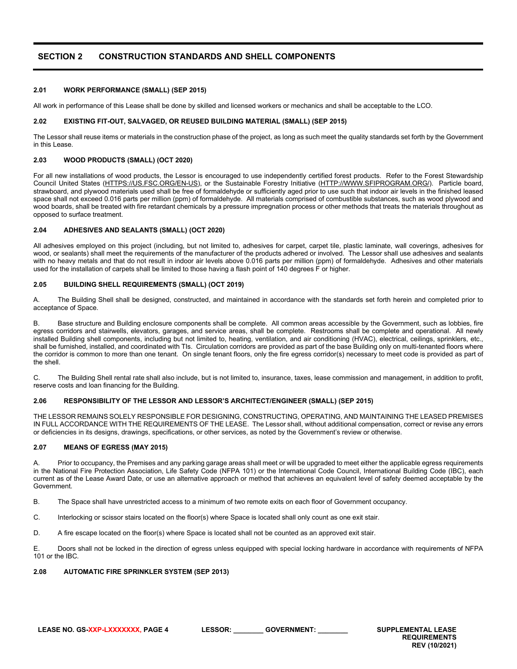# <span id="page-3-0"></span>**SECTION 2 CONSTRUCTION STANDARDS AND SHELL COMPONENTS**

#### <span id="page-3-1"></span>**2.01 WORK PERFORMANCE (SMALL) (SEP 2015)**

All work in performance of this Lease shall be done by skilled and licensed workers or mechanics and shall be acceptable to the LCO.

#### <span id="page-3-2"></span>**2.02 EXISTING FIT-OUT, SALVAGED, OR REUSED BUILDING MATERIAL (SMALL) (SEP 2015)**

The Lessor shall reuse items or materials in the construction phase of the project, as long as such meet the quality standards set forth by the Government in this Lease.

#### <span id="page-3-3"></span>**2.03 WOOD PRODUCTS (SMALL) (OCT 2020)**

For all new installations of wood products, the Lessor is encouraged to use independently certified forest products. Refer to the Forest Stewardship Council United States [\(HTTPS://US.FSC.ORG/EN-US\)](https://us.fsc.org/en-us), or the Sustainable Forestry Initiative [\(HTTP://WWW.SFIPROGRAM.ORG/\)](http://www.sfiprogram.org/). Particle board, strawboard, and plywood materials used shall be free of formaldehyde or sufficiently aged prior to use such that indoor air levels in the finished leased space shall not exceed 0.016 parts per million (ppm) of formaldehyde. All materials comprised of combustible substances, such as wood plywood and wood boards, shall be treated with fire retardant chemicals by a pressure impregnation process or other methods that treats the materials throughout as opposed to surface treatment.

#### <span id="page-3-4"></span>**2.04 ADHESIVES AND SEALANTS (SMALL) (OCT 2020)**

All adhesives employed on this project (including, but not limited to, adhesives for carpet, carpet tile, plastic laminate, wall coverings, adhesives for wood, or sealants) shall meet the requirements of the manufacturer of the products adhered or involved. The Lessor shall use adhesives and sealants with no heavy metals and that do not result in indoor air levels above 0.016 parts per million (ppm) of formaldehyde. Adhesives and other materials used for the installation of carpets shall be limited to those having a flash point of 140 degrees F or higher.

#### <span id="page-3-5"></span>**2.05 BUILDING SHELL REQUIREMENTS (SMALL) (OCT 2019)**

A. The Building Shell shall be designed, constructed, and maintained in accordance with the standards set forth herein and completed prior to acceptance of Space.

B. Base structure and Building enclosure components shall be complete. All common areas accessible by the Government, such as lobbies, fire egress corridors and stairwells, elevators, garages, and service areas, shall be complete. Restrooms shall be complete and operational. All newly installed Building shell components, including but not limited to, heating, ventilation, and air conditioning (HVAC), electrical, ceilings, sprinklers, etc., shall be furnished, installed, and coordinated with TIs. Circulation corridors are provided as part of the base Building only on multi-tenanted floors where the corridor is common to more than one tenant. On single tenant floors, only the fire egress corridor(s) necessary to meet code is provided as part of the shell.

C. The Building Shell rental rate shall also include, but is not limited to, insurance, taxes, lease commission and management, in addition to profit, reserve costs and loan financing for the Building.

## <span id="page-3-6"></span>**2.06 RESPONSIBILITY OF THE LESSOR AND LESSOR'S ARCHITECT/ENGINEER (SMALL) (SEP 2015)**

THE LESSOR REMAINS SOLELY RESPONSIBLE FOR DESIGNING, CONSTRUCTING, OPERATING, AND MAINTAINING THE LEASED PREMISES IN FULL ACCORDANCE WITH THE REQUIREMENTS OF THE LEASE. The Lessor shall, without additional compensation, correct or revise any errors or deficiencies in its designs, drawings, specifications, or other services, as noted by the Government's review or otherwise.

#### <span id="page-3-7"></span>**2.07 MEANS OF EGRESS (MAY 2015)**

Prior to occupancy, the Premises and any parking garage areas shall meet or will be upgraded to meet either the applicable egress requirements in the National Fire Protection Association, Life Safety Code (NFPA 101) or the International Code Council, International Building Code (IBC), each current as of the Lease Award Date, or use an alternative approach or method that achieves an equivalent level of safety deemed acceptable by the Government.

B. The Space shall have unrestricted access to a minimum of two remote exits on each floor of Government occupancy.

C. Interlocking or scissor stairs located on the floor(s) where Space is located shall only count as one exit stair.

D. A fire escape located on the floor(s) where Space is located shall not be counted as an approved exit stair.

E. Doors shall not be locked in the direction of egress unless equipped with special locking hardware in accordance with requirements of NFPA 101 or the IBC.

#### <span id="page-3-8"></span>**2.08 AUTOMATIC FIRE SPRINKLER SYSTEM (SEP 2013)**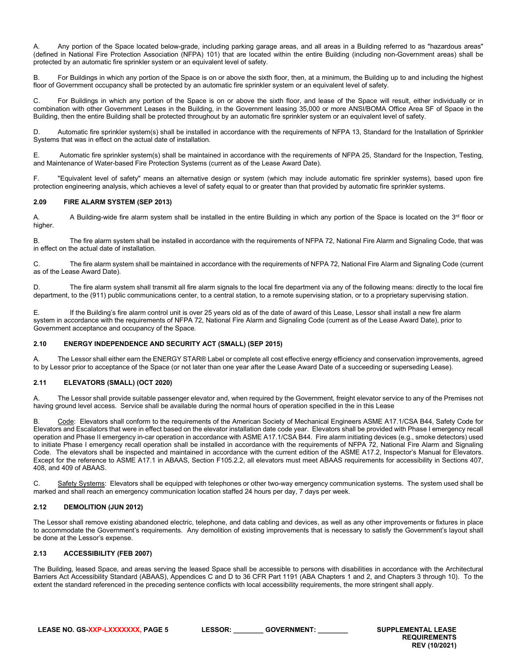Any portion of the Space located below-grade, including parking garage areas, and all areas in a Building referred to as "hazardous areas" (defined in National Fire Protection Association (NFPA) 101) that are located within the entire Building (including non-Government areas) shall be protected by an automatic fire sprinkler system or an equivalent level of safety.

B. For Buildings in which any portion of the Space is on or above the sixth floor, then, at a minimum, the Building up to and including the highest floor of Government occupancy shall be protected by an automatic fire sprinkler system or an equivalent level of safety.

C. For Buildings in which any portion of the Space is on or above the sixth floor, and lease of the Space will result, either individually or in combination with other Government Leases in the Building, in the Government leasing 35,000 or more ANSI/BOMA Office Area SF of Space in the Building, then the entire Building shall be protected throughout by an automatic fire sprinkler system or an equivalent level of safety.

D. Automatic fire sprinkler system(s) shall be installed in accordance with the requirements of NFPA 13, Standard for the Installation of Sprinkler Systems that was in effect on the actual date of installation*.*

E. Automatic fire sprinkler system(s) shall be maintained in accordance with the requirements of NFPA 25, Standard for the Inspection, Testing, and Maintenance of Water-based Fire Protection Systems (current as of the Lease Award Date).

F. "Equivalent level of safety" means an alternative design or system (which may include automatic fire sprinkler systems), based upon fire protection engineering analysis, which achieves a level of safety equal to or greater than that provided by automatic fire sprinkler systems.

## <span id="page-4-0"></span>**2.09 FIRE ALARM SYSTEM (SEP 2013)**

A. A Building-wide fire alarm system shall be installed in the entire Building in which any portion of the Space is located on the  $3<sup>rd</sup>$  floor or higher.

B. The fire alarm system shall be installed in accordance with the requirements of NFPA 72, National Fire Alarm and Signaling Code, that was in effect on the actual date of installation.

C. The fire alarm system shall be maintained in accordance with the requirements of NFPA 72, National Fire Alarm and Signaling Code (current as of the Lease Award Date).

D. The fire alarm system shall transmit all fire alarm signals to the local fire department via any of the following means: directly to the local fire department, to the (911) public communications center, to a central station, to a remote supervising station, or to a proprietary supervising station.

E. If the Building's fire alarm control unit is over 25 years old as of the date of award of this Lease, Lessor shall install a new fire alarm system in accordance with the requirements of NFPA 72, National Fire Alarm and Signaling Code (current as of the Lease Award Date), prior to Government acceptance and occupancy of the Space.

## <span id="page-4-1"></span>**2.10 ENERGY INDEPENDENCE AND SECURITY ACT (SMALL) (SEP 2015)**

A. The Lessor shall either earn the ENERGY STAR® Label or complete all cost effective energy efficiency and conservation improvements, agreed to by Lessor prior to acceptance of the Space (or not later than one year after the Lease Award Date of a succeeding or superseding Lease).

## <span id="page-4-2"></span>**2.11 ELEVATORS (SMALL) (OCT 2020)**

A. The Lessor shall provide suitable passenger elevator and, when required by the Government, freight elevator service to any of the Premises not having ground level access. Service shall be available during the normal hours of operation specified in the in this Lease

Code: Elevators shall conform to the requirements of the American Society of Mechanical Engineers ASME A17.1/CSA B44, Safety Code for Elevators and Escalators that were in effect based on the elevator installation date code year. Elevators shall be provided with Phase I emergency recall operation and Phase II emergency in-car operation in accordance with ASME A17.1/CSA B44. Fire alarm initiating devices (e.g., smoke detectors) used to initiate Phase I emergency recall operation shall be installed in accordance with the requirements of NFPA 72, National Fire Alarm and Signaling Code. The elevators shall be inspected and maintained in accordance with the current edition of the ASME A17.2, Inspector's Manual for Elevators. Except for the reference to ASME A17.1 in ABAAS, Section F105.2.2, all elevators must meet ABAAS requirements for accessibility in Sections 407, 408, and 409 of ABAAS.

Safety Systems: Elevators shall be equipped with telephones or other two-way emergency communication systems. The system used shall be marked and shall reach an emergency communication location staffed 24 hours per day, 7 days per week.

# <span id="page-4-3"></span>**2.12 DEMOLITION (JUN 2012)**

The Lessor shall remove existing abandoned electric, telephone, and data cabling and devices, as well as any other improvements or fixtures in place to accommodate the Government's requirements. Any demolition of existing improvements that is necessary to satisfy the Government's layout shall be done at the Lessor's expense.

# <span id="page-4-4"></span>**2.13 ACCESSIBILITY (FEB 2007)**

The Building, leased Space, and areas serving the leased Space shall be accessible to persons with disabilities in accordance with the Architectural Barriers Act Accessibility Standard (ABAAS), Appendices C and D to 36 CFR Part 1191 (ABA Chapters 1 and 2, and Chapters 3 through 10). To the extent the standard referenced in the preceding sentence conflicts with local accessibility requirements, the more stringent shall apply.

**LEASE NO. GS-XXP-LXXXXXXX, PAGE 5 LESSOR: \_\_\_\_\_\_\_\_ GOVERNMENT: \_\_\_\_\_\_\_\_ SUPPLEMENTAL LEASE**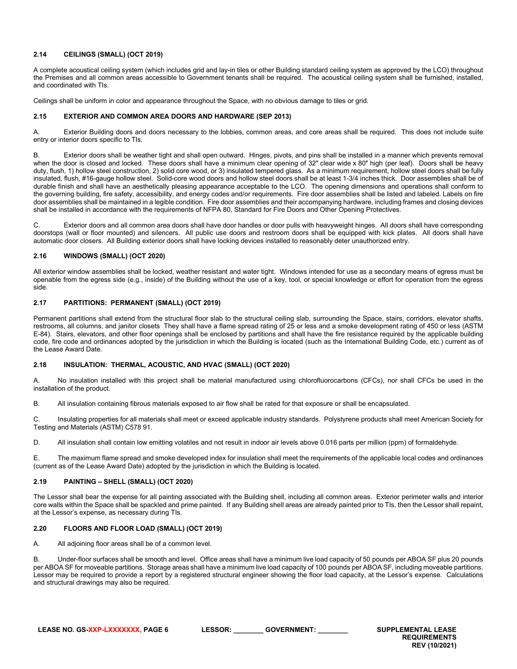## <span id="page-5-0"></span>**2.14 CEILINGS (SMALL) (OCT 2019)**

A complete acoustical ceiling system (which includes grid and lay-in tiles or other Building standard ceiling system as approved by the LCO) throughout the Premises and all common areas accessible to Government tenants shall be required. The acoustical ceiling system shall be furnished, installed, and coordinated with TIs.

Ceilings shall be uniform in color and appearance throughout the Space, with no obvious damage to tiles or grid.

## <span id="page-5-1"></span>**2.15 EXTERIOR AND COMMON AREA DOORS AND HARDWARE (SEP 2013)**

A. Exterior Building doors and doors necessary to the lobbies, common areas, and core areas shall be required. This does not include suite entry or interior doors specific to TIs.

B. Exterior doors shall be weather tight and shall open outward. Hinges, pivots, and pins shall be installed in a manner which prevents removal when the door is closed and locked. These doors shall have a minimum clear opening of 32" clear wide x 80" high (per leaf). Doors shall be heavy duty, flush, 1) hollow steel construction, 2) solid core wood, or 3) insulated tempered glass. As a minimum requirement, hollow steel doors shall be fully insulated, flush, #16-gauge hollow steel. Solid-core wood doors and hollow steel doors shall be at least 1-3/4 inches thick. Door assemblies shall be of durable finish and shall have an aesthetically pleasing appearance acceptable to the LCO. The opening dimensions and operations shall conform to the governing building, fire safety, accessibility, and energy codes and/or requirements. Fire door assemblies shall be listed and labeled. Labels on fire door assemblies shall be maintained in a legible condition. Fire door assemblies and their accompanying hardware, including frames and closing devices shall be installed in accordance with the requirements of NFPA 80, Standard for Fire Doors and Other Opening Protectives.

C. Exterior doors and all common area doors shall have door handles or door pulls with heavyweight hinges. All doors shall have corresponding doorstops (wall or floor mounted) and silencers. All public use doors and restroom doors shall be equipped with kick plates. All doors shall have automatic door closers. All Building exterior doors shall have locking devices installed to reasonably deter unauthorized entry.

## <span id="page-5-2"></span>**2.16 WINDOWS (SMALL) (OCT 2020)**

All exterior window assemblies shall be locked, weather resistant and water tight. Windows intended for use as a secondary means of egress must be openable from the egress side (e.g., inside) of the Building without the use of a key, tool, or special knowledge or effort for operation from the egress side.

## <span id="page-5-3"></span>**2.17 PARTITIONS: PERMANENT (SMALL) (OCT 2019)**

Permanent partitions shall extend from the structural floor slab to the structural ceiling slab, surrounding the Space, stairs, corridors, elevator shafts, restrooms, all columns, and janitor closets They shall have a flame spread rating of 25 or less and a smoke development rating of 450 or less (ASTM E-84). Stairs, elevators, and other floor openings shall be enclosed by partitions and shall have the fire resistance required by the applicable building code, fire code and ordinances adopted by the jurisdiction in which the Building is located (such as the International Building Code, etc.) current as of the Lease Award Date.

## <span id="page-5-4"></span>**2.18 INSULATION: THERMAL, ACOUSTIC, AND HVAC (SMALL) (OCT 2020)**

A. No insulation installed with this project shall be material manufactured using chlorofluorocarbons (CFCs), nor shall CFCs be used in the installation of the product.

B. All insulation containing fibrous materials exposed to air flow shall be rated for that exposure or shall be encapsulated.

C. Insulating properties for all materials shall meet or exceed applicable industry standards. Polystyrene products shall meet American Society for Testing and Materials (ASTM) C578 91.

D. All insulation shall contain low emitting volatiles and not result in indoor air levels above 0.016 parts per million (ppm) of formaldehyde.

E. The maximum flame spread and smoke developed index for insulation shall meet the requirements of the applicable local codes and ordinances (current as of the Lease Award Date) adopted by the jurisdiction in which the Building is located.

## <span id="page-5-5"></span>**2.19 PAINTING – SHELL (SMALL) (OCT 2020)**

The Lessor shall bear the expense for all painting associated with the Building shell, including all common areas. Exterior perimeter walls and interior core walls within the Space shall be spackled and prime painted. If any Building shell areas are already painted prior to TIs, then the Lessor shall repaint, at the Lessor's expense, as necessary during TIs.

## <span id="page-5-6"></span>**2.20 FLOORS AND FLOOR LOAD (SMALL) (OCT 2019)**

A. All adjoining floor areas shall be of a common level.

B. Under-floor surfaces shall be smooth and level. Office areas shall have a minimum live load capacity of 50 pounds per ABOA SF plus 20 pounds per ABOA SF for moveable partitions. Storage areas shall have a minimum live load capacity of 100 pounds per ABOA SF, including moveable partitions. Lessor may be required to provide a report by a registered structural engineer showing the floor load capacity, at the Lessor's expense. Calculations and structural drawings may also be required.

**LEASE NO. GS-XXP-LXXXXXXX, PAGE 6 LESSOR: \_\_\_\_\_\_\_\_ GOVERNMENT: \_\_\_\_\_\_\_\_ SUPPLEMENTAL LEASE**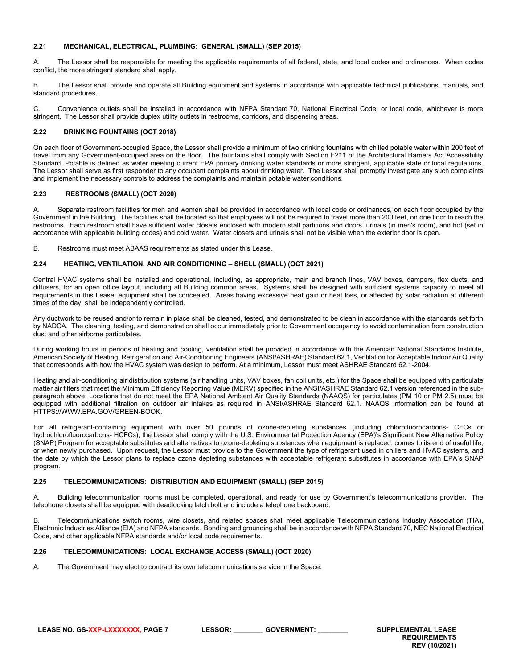## <span id="page-6-0"></span>**2.21 MECHANICAL, ELECTRICAL, PLUMBING: GENERAL (SMALL) (SEP 2015)**

A. The Lessor shall be responsible for meeting the applicable requirements of all federal, state, and local codes and ordinances. When codes conflict, the more stringent standard shall apply.

B. The Lessor shall provide and operate all Building equipment and systems in accordance with applicable technical publications, manuals, and standard procedures.

C. Convenience outlets shall be installed in accordance with NFPA Standard 70, National Electrical Code, or local code, whichever is more stringent. The Lessor shall provide duplex utility outlets in restrooms, corridors, and dispensing areas.

## <span id="page-6-1"></span>**2.22 DRINKING FO**U**NTAINS (OCT 2018)**

On each floor of Government-occupied Space, the Lessor shall provide a minimum of two drinking fountains with chilled potable water within 200 feet of travel from any Government-occupied area on the floor. The fountains shall comply with Section F211 of the Architectural Barriers Act Accessibility Standard. Potable is defined as water meeting current EPA primary drinking water standards or more stringent, applicable state or local regulations. The Lessor shall serve as first responder to any occupant complaints about drinking water. The Lessor shall promptly investigate any such complaints and implement the necessary controls to address the complaints and maintain potable water conditions.

## <span id="page-6-2"></span>**2.23 RESTROOMS (SMALL) (OCT 2020)**

A. Separate restroom facilities for men and women shall be provided in accordance with local code or ordinances, on each floor occupied by the Government in the Building. The facilities shall be located so that employees will not be required to travel more than 200 feet, on one floor to reach the restrooms. Each restroom shall have sufficient water closets enclosed with modern stall partitions and doors, urinals (in men's room), and hot (set in accordance with applicable building codes) and cold water. Water closets and urinals shall not be visible when the exterior door is open.

B. Restrooms must meet ABAAS requirements as stated under this Lease.

## <span id="page-6-3"></span>**2.24 HEATING, VENTILATION, AND AIR CONDITIONING – SHELL (SMALL) (OCT 2021)**

Central HVAC systems shall be installed and operational, including, as appropriate, main and branch lines, VAV boxes, dampers, flex ducts, and diffusers, for an open office layout, including all Building common areas. Systems shall be designed with sufficient systems capacity to meet all requirements in this Lease; equipment shall be concealed. Areas having excessive heat gain or heat loss, or affected by solar radiation at different times of the day, shall be independently controlled.

Any ductwork to be reused and/or to remain in place shall be cleaned, tested, and demonstrated to be clean in accordance with the standards set forth by NADCA. The cleaning, testing, and demonstration shall occur immediately prior to Government occupancy to avoid contamination from construction dust and other airborne particulates.

During working hours in periods of heating and cooling, ventilation shall be provided in accordance with the American National Standards Institute, American Society of Heating, Refrigeration and Air-Conditioning Engineers (ANSI/ASHRAE) Standard 62.1, Ventilation for Acceptable Indoor Air Quality that corresponds with how the HVAC system was design to perform. At a minimum, Lessor must meet ASHRAE Standard 62.1-2004.

Heating and air-conditioning air distribution systems (air handling units, VAV boxes, fan coil units, etc.) for the Space shall be equipped with particulate matter air filters that meet the Minimum Efficiency Reporting Value (MERV) specified in the ANSI/ASHRAE Standard 62.1 version referenced in the subparagraph above. Locations that do not meet the EPA National Ambient Air Quality Standards (NAAQS) for particulates (PM 10 or PM 2.5) must be equipped with additional filtration on outdoor air intakes as required in ANSI/ASHRAE Standard 62.1. NAAQS information can be found at [HTTPS://WWW.EPA.GOV/GREEN-BOOK.](https://www.epa.gov/green-book)

For all refrigerant-containing equipment with over 50 pounds of ozone-depleting substances (including chlorofluorocarbons- CFCs or hydrochlorofluorocarbons- HCFCs), the Lessor shall comply with the U.S. Environmental Protection Agency (EPA)'s Significant New Alternative Policy (SNAP) Program for acceptable substitutes and alternatives to ozone-depleting substances when equipment is replaced, comes to its end of useful life, or when newly purchased. Upon request, the Lessor must provide to the Government the type of refrigerant used in chillers and HVAC systems, and the date by which the Lessor plans to replace ozone depleting substances with acceptable refrigerant substitutes in accordance with EPA's SNAP program.

## <span id="page-6-4"></span>**2.25 TELECOMMUNICATIONS: DISTRIBUTION AND EQUIPMENT (SMALL) (SEP 2015)**

A. Building telecommunication rooms must be completed, operational, and ready for use by Government's telecommunications provider. The telephone closets shall be equipped with deadlocking latch bolt and include a telephone backboard.

B. Telecommunications switch rooms, wire closets, and related spaces shall meet applicable Telecommunications Industry Association (TIA), Electronic Industries Alliance (EIA) and NFPA standards. Bonding and grounding shall be in accordance with NFPA Standard 70, NEC National Electrical Code, and other applicable NFPA standards and/or local code requirements.

# <span id="page-6-5"></span>**2.26 TELECOMMUNICATIONS: LOCAL EXCHANGE ACCESS (SMALL) (OCT 2020)**

A. The Government may elect to contract its own telecommunications service in the Space.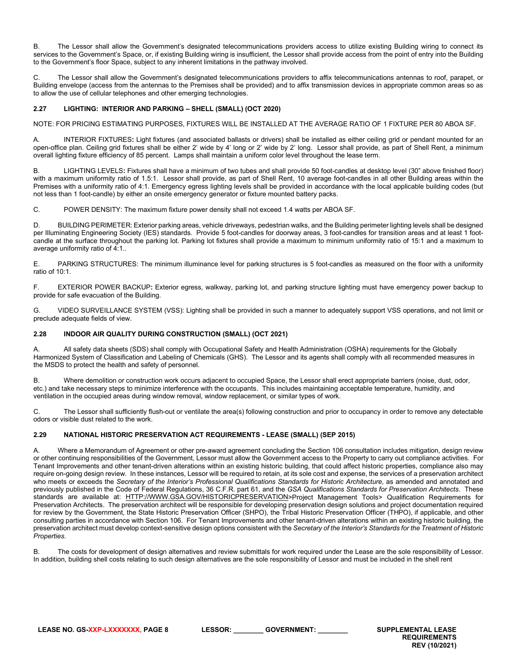B. The Lessor shall allow the Government's designated telecommunications providers access to utilize existing Building wiring to connect its services to the Government's Space, or, if existing Building wiring is insufficient, the Lessor shall provide access from the point of entry into the Building to the Government's floor Space, subject to any inherent limitations in the pathway involved.

C. The Lessor shall allow the Government's designated telecommunications providers to affix telecommunications antennas to roof, parapet, or Building envelope (access from the antennas to the Premises shall be provided) and to affix transmission devices in appropriate common areas so as to allow the use of cellular telephones and other emerging technologies.

# <span id="page-7-0"></span>**2.27 LIGHTING: INTERIOR AND PARKING – SHELL (SMALL) (OCT 2020)**

NOTE: FOR PRICING ESTIMATING PURPOSES, FIXTURES WILL BE INSTALLED AT THE AVERAGE RATIO OF 1 FIXTURE PER 80 ABOA SF.

A. INTERIOR FIXTURES**:** Light fixtures (and associated ballasts or drivers) shall be installed as either ceiling grid or pendant mounted for an open-office plan. Ceiling grid fixtures shall be either 2' wide by 4' long or 2' wide by 2' long. Lessor shall provide, as part of Shell Rent, a minimum overall lighting fixture efficiency of 85 percent. Lamps shall maintain a uniform color level throughout the lease term.

B. LIGHTING LEVELS**:** Fixtures shall have a minimum of two tubes and shall provide 50 foot-candles at desktop level (30" above finished floor) with a maximum uniformity ratio of 1.5:1. Lessor shall provide, as part of Shell Rent, 10 average foot-candles in all other Building areas within the Premises with a uniformity ratio of 4:1. Emergency egress lighting levels shall be provided in accordance with the local applicable building codes (but not less than 1 foot-candle) by either an onsite emergency generator or fixture mounted battery packs.

C. POWER DENSITY: The maximum fixture power density shall not exceed 1.4 watts per ABOA SF.

D. BUILDING PERIMETER: Exterior parking areas, vehicle driveways, pedestrian walks, and the Building perimeter lighting levels shall be designed per Illuminating Engineering Society (IES) standards. Provide 5 foot-candles for doorway areas, 3 foot-candles for transition areas and at least 1 footcandle at the surface throughout the parking lot. Parking lot fixtures shall provide a maximum to minimum uniformity ratio of 15:1 and a maximum to average uniformity ratio of 4:1..

E. PARKING STRUCTURES: The minimum illuminance level for parking structures is 5 foot-candles as measured on the floor with a uniformity ratio of 10:1.

F. EXTERIOR POWER BACKUP**:** Exterior egress, walkway, parking lot, and parking structure lighting must have emergency power backup to provide for safe evacuation of the Building.

G. VIDEO SURVEILLANCE SYSTEM (VSS): Lighting shall be provided in such a manner to adequately support VSS operations, and not limit or preclude adequate fields of view.

## <span id="page-7-1"></span>**2.28 INDOOR AIR QUALITY DURING CONSTRUCTION (SMALL) (OCT 2021)**

A. All safety data sheets (SDS) shall comply with Occupational Safety and Health Administration (OSHA) requirements for the Globally Harmonized System of Classification and Labeling of Chemicals (GHS). The Lessor and its agents shall comply with all recommended measures in the MSDS to protect the health and safety of personnel.

B. Where demolition or construction work occurs adjacent to occupied Space, the Lessor shall erect appropriate barriers (noise, dust, odor, etc.) and take necessary steps to minimize interference with the occupants. This includes maintaining acceptable temperature, humidity, and ventilation in the occupied areas during window removal, window replacement, or similar types of work.

C. The Lessor shall sufficiently flush-out or ventilate the area(s) following construction and prior to occupancy in order to remove any detectable odors or visible dust related to the work.

## <span id="page-7-2"></span>**2.29 NATIONAL HISTORIC PRESERVATION ACT REQUIREMENTS - LEASE (SMALL) (SEP 2015)**

A. Where a Memorandum of Agreement or other pre-award agreement concluding the Section 106 consultation includes mitigation, design review or other continuing responsibilities of the Government, Lessor must allow the Government access to the Property to carry out compliance activities. For Tenant Improvements and other tenant-driven alterations within an existing historic building, that could affect historic properties, compliance also may require on-going design review. In these instances, Lessor will be required to retain, at its sole cost and expense, the services of a preservation architect who meets or exceeds the *Secretary of the Interior's Professional Qualifications Standards for Historic Architecture*, as amended and annotated and previously published in the Code of Federal Regulations, 36 C.F.R. part 61, and the *GSA Qualifications Standards for Preservation Architects*. These standards are available at: [HTTP://WWW.GSA.GOV/HISTORICPRESERVATION>](http://www.gsa.gov/historicpreservation)Project Management Tools> Qualification Requirements for Preservation Architects. The preservation architect will be responsible for developing preservation design solutions and project documentation required for review by the Government, the State Historic Preservation Officer (SHPO), the Tribal Historic Preservation Officer (THPO), if applicable, and other consulting parties in accordance with Section 106. For Tenant Improvements and other tenant-driven alterations within an existing historic building, the preservation architect must develop context-sensitive design options consistent with the *Secretary of the Interior's Standards for the Treatment of Historic Properties*.

The costs for development of design alternatives and review submittals for work required under the Lease are the sole responsibility of Lessor. In addition, building shell costs relating to such design alternatives are the sole responsibility of Lessor and must be included in the shell rent

**LEASE NO. GS-XXP-LXXXXXXX, PAGE 8 LESSOR: \_\_\_\_\_\_\_\_ GOVERNMENT: \_\_\_\_\_\_\_\_ SUPPLEMENTAL LEASE**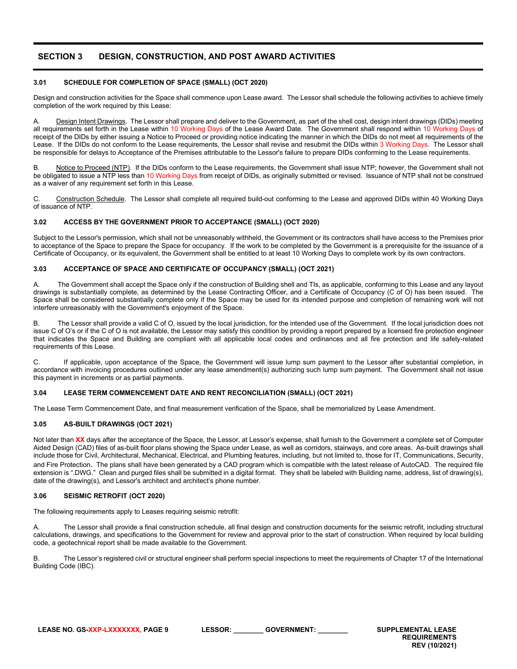# <span id="page-8-0"></span>**SECTION 3 DESIGN, CONSTRUCTION, AND POST AWARD ACTIVITIES**

## <span id="page-8-1"></span>**3.01 SCHEDULE FOR COMPLETION OF SPACE (SMALL) (OCT 2020)**

Design and construction activities for the Space shall commence upon Lease award. The Lessor shall schedule the following activities to achieve timely completion of the work required by this Lease:

A. Design Intent Drawings. The Lessor shall prepare and deliver to the Government, as part of the shell cost, design intent drawings (DIDs) meeting all requirements set forth in the Lease within 10 Working Days of the Lease Award Date. The Government shall respond within 10 Working Days of receipt of the DIDs by either issuing a Notice to Proceed or providing notice indicating the manner in which the DIDs do not meet all requirements of the Lease. If the DIDs do not conform to the Lease requirements, the Lessor shall revise and resubmit the DIDs within 3 Working Days. The Lessor shall be responsible for delays to Acceptance of the Premises attributable to the Lessor's failure to prepare DIDs conforming to the Lease requirements.

B. Notice to Proceed (NTP). If the DIDs conform to the Lease requirements, the Government shall issue NTP; however, the Government shall not be obligated to issue a NTP less than 10 Working Days from receipt of DIDs, as originally submitted or revised. Issuance of NTP shall not be construed as a waiver of any requirement set forth in this Lease.

C. Construction Schedule. The Lessor shall complete all required build-out conforming to the Lease and approved DIDs within 40 Working Days of issuance of NTP.

## <span id="page-8-2"></span>**3.02 ACCESS BY THE GOVERNMENT PRIOR TO ACCEPTANCE (SMALL) (OCT 2020)**

Subject to the Lessor's permission, which shall not be unreasonably withheld, the Government or its contractors shall have access to the Premises prior to acceptance of the Space to prepare the Space for occupancy. If the work to be completed by the Government is a prerequisite for the issuance of a Certificate of Occupancy, or its equivalent, the Government shall be entitled to at least 10 Working Days to complete work by its own contractors.

## <span id="page-8-3"></span>**3.03 ACCEPTANCE OF SPACE AND CERTIFICATE OF OCCUPANCY (SMALL) (OCT 2021)**

A. The Government shall accept the Space only if the construction of Building shell and TIs, as applicable, conforming to this Lease and any layout drawings is substantially complete, as determined by the Lease Contracting Officer, and a Certificate of Occupancy (C of O) has been issued. The Space shall be considered substantially complete only if the Space may be used for its intended purpose and completion of remaining work will not interfere unreasonably with the Government's enjoyment of the Space.

B. The Lessor shall provide a valid C of O, issued by the local jurisdiction, for the intended use of the Government. If the local jurisdiction does not issue C of O's or if the C of O is not available, the Lessor may satisfy this condition by providing a report prepared by a licensed fire protection engineer that indicates the Space and Building are compliant with all applicable local codes and ordinances and all fire protection and life safety-related requirements of this Lease.

C. If applicable, upon acceptance of the Space, the Government will issue lump sum payment to the Lessor after substantial completion, in accordance with invoicing procedures outlined under any lease amendment(s) authorizing such lump sum payment. The Government shall not issue this payment in increments or as partial payments.

## <span id="page-8-4"></span>**3.04 LEASE TERM COMMENCEMENT DATE AND RENT RECONCILIATION (SMALL) (OCT 2021)**

The Lease Term Commencement Date, and final measurement verification of the Space, shall be memorialized by Lease Amendment.

## <span id="page-8-5"></span>**3.05 AS-BUILT DRAWINGS (OCT 2021)**

Not later than **XX** days after the acceptance of the Space, the Lessor, at Lessor's expense, shall furnish to the Government a complete set of Computer Aided Design (CAD) files of as-built floor plans showing the Space under Lease, as well as corridors, stairways, and core areas. As-built drawings shall include those for Civil, Architectural, Mechanical, Electrical, and Plumbing features, including, but not limited to, those for IT, Communications, Security, and Fire Protection. The plans shall have been generated by a CAD program which is compatible with the latest release of AutoCAD. The required file extension is ".DWG." Clean and purged files shall be submitted in a digital format. They shall be labeled with Building name, address, list of drawing(s), date of the drawing(s), and Lessor's architect and architect's phone number.

## <span id="page-8-6"></span>**3.06 SEISMIC RETROFIT (OCT 2020)**

The following requirements apply to Leases requiring seismic retrofit:

A. The Lessor shall provide a final construction schedule, all final design and construction documents for the seismic retrofit, including structural calculations, drawings, and specifications to the Government for review and approval prior to the start of construction. When required by local building code, a geotechnical report shall be made available to the Government.

B. The Lessor's registered civil or structural engineer shall perform special inspections to meet the requirements of Chapter 17 of the International Building Code (IBC).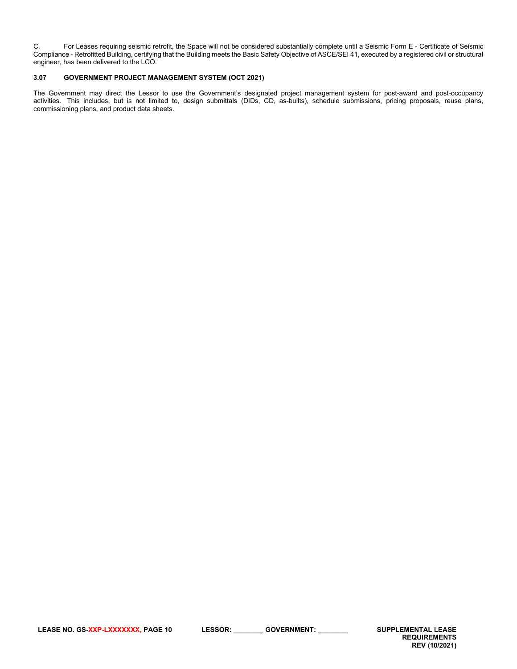C. For Leases requiring seismic retrofit, the Space will not be considered substantially complete until a Seismic Form E - Certificate of Seismic Compliance - Retrofitted Building, certifying that the Building meets the Basic Safety Objective of ASCE/SEI 41, executed by a registered civil or structural engineer, has been delivered to the LCO.

# <span id="page-9-0"></span>**3.07 GOVERNMENT PROJECT MANAGEMENT SYSTEM (OCT 2021)**

The Government may direct the Lessor to use the Government's designated project management system for post-award and post-occupancy activities. This includes, but is not limited to, design submittals (DIDs, CD, as-builts), schedule submissions, pricing proposals, reuse plans, commissioning plans, and product data sheets.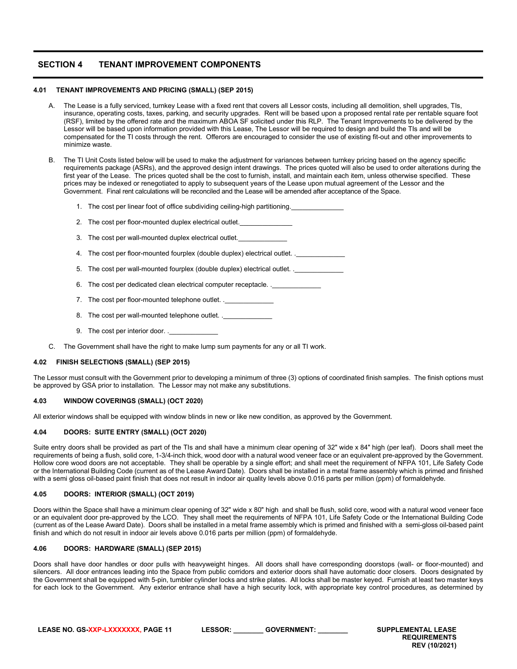# <span id="page-10-0"></span>**SECTION 4 TENANT IMPROVEMENT COMPONENTS**

#### **4.01 TENANT IMPROVEMENTS AND PRICING (SMALL) (SEP 2015)**

- <span id="page-10-1"></span>A. The Lease is a fully serviced, turnkey Lease with a fixed rent that covers all Lessor costs, including all demolition, shell upgrades, TIs, insurance, operating costs, taxes, parking, and security upgrades. Rent will be based upon a proposed rental rate per rentable square foot (RSF), limited by the offered rate and the maximum ABOA SF solicited under this RLP. The Tenant Improvements to be delivered by the Lessor will be based upon information provided with this Lease, The Lessor will be required to design and build the TIs and will be compensated for the TI costs through the rent. Offerors are encouraged to consider the use of existing fit-out and other improvements to minimize waste.
- B. The TI Unit Costs listed below will be used to make the adjustment for variances between turnkey pricing based on the agency specific requirements package (ASRs), and the approved design intent drawings. The prices quoted will also be used to order alterations during the first year of the Lease. The prices quoted shall be the cost to furnish, install, and maintain each item, unless otherwise specified. These prices may be indexed or renegotiated to apply to subsequent years of the Lease upon mutual agreement of the Lessor and the Government. Final rent calculations will be reconciled and the Lease will be amended after acceptance of the Space.
	- 1. The cost per linear foot of office subdividing ceiling-high partitioning.
	- 2. The cost per floor-mounted duplex electrical outlet.
	- 3. The cost per wall-mounted duplex electrical outlet.
	- 4. The cost per floor-mounted fourplex (double duplex) electrical outlet. .
	- 5. The cost per wall-mounted fourplex (double duplex) electrical outlet. .\_\_\_\_\_\_
	- 6. The cost per dedicated clean electrical computer receptacle. .
	- 7. The cost per floor-mounted telephone outlet.
	- 8. The cost per wall-mounted telephone outlet. . \_\_\_\_\_\_\_
	- 9. The cost per interior door...
- <span id="page-10-2"></span>C. The Government shall have the right to make lump sum payments for any or all TI work.

## **4.02 FINISH SELECTIONS (SMALL) (SEP 2015)**

The Lessor must consult with the Government prior to developing a minimum of three (3) options of coordinated finish samples. The finish options must be approved by GSA prior to installation. The Lessor may not make any substitutions.

#### <span id="page-10-3"></span>**4.03 WINDOW COVERINGS (SMALL) (OCT 2020)**

All exterior windows shall be equipped with window blinds in new or like new condition, as approved by the Government.

#### <span id="page-10-4"></span>**4.04 DOORS: SUITE ENTRY (SMALL) (OCT 2020)**

Suite entry doors shall be provided as part of the TIs and shall have a minimum clear opening of 32" wide x 84" high (per leaf). Doors shall meet the requirements of being a flush, solid core, 1-3/4-inch thick, wood door with a natural wood veneer face or an equivalent pre-approved by the Government. Hollow core wood doors are not acceptable. They shall be operable by a single effort; and shall meet the requirement of NFPA 101, Life Safety Code or the International Building Code (current as of the Lease Award Date). Doors shall be installed in a metal frame assembly which is primed and finished with a semi gloss oil-based paint finish that does not result in indoor air quality levels above 0.016 parts per million (ppm) of formaldehyde.

#### <span id="page-10-5"></span>**4.05 DOORS: INTERIOR (SMALL) (OCT 2019)**

Doors within the Space shall have a minimum clear opening of 32" wide x 80" high and shall be flush, solid core, wood with a natural wood veneer face or an equivalent door pre-approved by the LCO. They shall meet the requirements of NFPA 101, Life Safety Code or the International Building Code (current as of the Lease Award Date). Doors shall be installed in a metal frame assembly which is primed and finished with a semi-gloss oil-based paint finish and which do not result in indoor air levels above 0.016 parts per million (ppm) of formaldehyde.

## <span id="page-10-6"></span>**4.06 DOORS: HARDWARE (SMALL) (SEP 2015)**

Doors shall have door handles or door pulls with heavyweight hinges. All doors shall have corresponding doorstops (wall- or floor-mounted) and silencers. All door entrances leading into the Space from public corridors and exterior doors shall have automatic door closers. Doors designated by the Government shall be equipped with 5-pin, tumbler cylinder locks and strike plates. All locks shall be master keyed. Furnish at least two master keys for each lock to the Government. Any exterior entrance shall have a high security lock, with appropriate key control procedures, as determined by

| LEASE NO. GS-XXP-LXXXXXXX. PAGE 11 | .ESSOR: | <b>GOVERNMENT</b> | <b>SUPPLEMENTAL LEASE</b> |
|------------------------------------|---------|-------------------|---------------------------|
|------------------------------------|---------|-------------------|---------------------------|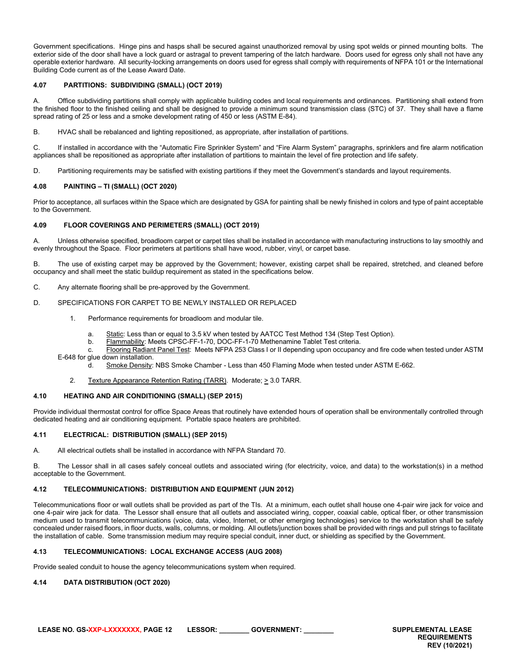Government specifications. Hinge pins and hasps shall be secured against unauthorized removal by using spot welds or pinned mounting bolts. The exterior side of the door shall have a lock guard or astragal to prevent tampering of the latch hardware. Doors used for egress only shall not have any operable exterior hardware. All security-locking arrangements on doors used for egress shall comply with requirements of NFPA 101 or the International Building Code current as of the Lease Award Date.

## <span id="page-11-0"></span>**4.07 PARTITIONS: SUBDIVIDING (SMALL) (OCT 2019)**

A. Office subdividing partitions shall comply with applicable building codes and local requirements and ordinances. Partitioning shall extend from the finished floor to the finished ceiling and shall be designed to provide a minimum sound transmission class (STC) of 37. They shall have a flame spread rating of 25 or less and a smoke development rating of 450 or less (ASTM E-84).

B. HVAC shall be rebalanced and lighting repositioned, as appropriate, after installation of partitions.

C. If installed in accordance with the "Automatic Fire Sprinkler System" and "Fire Alarm System" paragraphs, sprinklers and fire alarm notification appliances shall be repositioned as appropriate after installation of partitions to maintain the level of fire protection and life safety.

D. Partitioning requirements may be satisfied with existing partitions if they meet the Government's standards and layout requirements.

## <span id="page-11-1"></span>**4.08 PAINTING – TI (SMALL) (OCT 2020)**

Prior to acceptance, all surfaces within the Space which are designated by GSA for painting shall be newly finished in colors and type of paint acceptable to the Government.

## <span id="page-11-2"></span>**4.09 FLOOR COVERINGS AND PERIMETERS (SMALL) (OCT 2019)**

A. Unless otherwise specified, broadloom carpet or carpet tiles shall be installed in accordance with manufacturing instructions to lay smoothly and evenly throughout the Space. Floor perimeters at partitions shall have wood, rubber, vinyl, or carpet base.

B. The use of existing carpet may be approved by the Government; however, existing carpet shall be repaired, stretched, and cleaned before occupancy and shall meet the static buildup requirement as stated in the specifications below.

C. Any alternate flooring shall be pre-approved by the Government.

## D. SPECIFICATIONS FOR CARPET TO BE NEWLY INSTALLED OR REPLACED

- 1. Performance requirements for broadloom and modular tile.
	- a. Static: Less than or equal to 3.5 kV when tested by AATCC Test Method 134 (Step Test Option).
	- b. Flammability: Meets CPSC-FF-1-70, DOC-FF-1-70 Methenamine Tablet Test criteria.

c. Flooring Radiant Panel Test: Meets NFPA 253 Class I or II depending upon occupancy and fire code when tested under ASTM E-648 for glue down installation.

- d. Smoke Density: NBS Smoke Chamber Less than 450 Flaming Mode when tested under ASTM E-662.
- 2. Texture Appearance Retention Rating (TARR). Moderate; > 3.0 TARR.

## <span id="page-11-3"></span>**4.10 HEATING AND AIR CONDITIONING (SMALL) (SEP 2015)**

Provide individual thermostat control for office Space Areas that routinely have extended hours of operation shall be environmentally controlled through dedicated heating and air conditioning equipment. Portable space heaters are prohibited.

## <span id="page-11-4"></span>**4.11 ELECTRICAL: DISTRIBUTION (SMALL) (SEP 2015)**

A. All electrical outlets shall be installed in accordance with NFPA Standard 70.

B. The Lessor shall in all cases safely conceal outlets and associated wiring (for electricity, voice, and data) to the workstation(s) in a method acceptable to the Government.

## <span id="page-11-5"></span>**4.12 TELECOMMUNICATIONS: DISTRIBUTION AND EQUIPMENT (JUN 2012)**

Telecommunications floor or wall outlets shall be provided as part of the TIs. At a minimum, each outlet shall house one 4-pair wire jack for voice and one 4-pair wire jack for data. The Lessor shall ensure that all outlets and associated wiring, copper, coaxial cable, optical fiber, or other transmission medium used to transmit telecommunications (voice, data, video, Internet, or other emerging technologies) service to the workstation shall be safely concealed under raised floors, in floor ducts, walls, columns, or molding. All outlets/junction boxes shall be provided with rings and pull strings to facilitate the installation of cable. Some transmission medium may require special conduit, inner duct, or shielding as specified by the Government.

## <span id="page-11-6"></span>**4.13 TELECOMMUNICATIONS: LOCAL EXCHANGE ACCESS (AUG 2008)**

Provide sealed conduit to house the agency telecommunications system when required.

## <span id="page-11-7"></span>**4.14 DATA DISTRIBUTION (OCT 2020)**

**LEASE NO. GS-XXP-LXXXXXXX, PAGE 12 LESSOR: \_\_\_\_\_\_\_\_ GOVERNMENT: \_\_\_\_\_\_\_\_ SUPPLEMENTAL LEASE**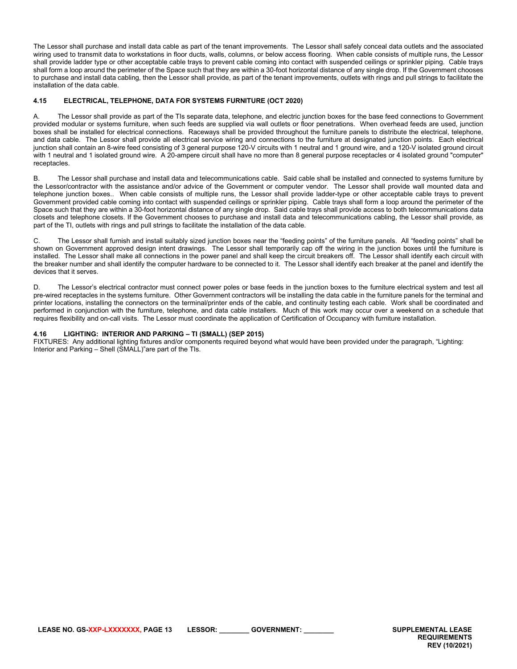The Lessor shall purchase and install data cable as part of the tenant improvements. The Lessor shall safely conceal data outlets and the associated wiring used to transmit data to workstations in floor ducts, walls, columns, or below access flooring. When cable consists of multiple runs, the Lessor shall provide ladder type or other acceptable cable trays to prevent cable coming into contact with suspended ceilings or sprinkler piping. Cable trays shall form a loop around the perimeter of the Space such that they are within a 30-foot horizontal distance of any single drop. If the Government chooses to purchase and install data cabling, then the Lessor shall provide, as part of the tenant improvements, outlets with rings and pull strings to facilitate the installation of the data cable.

## <span id="page-12-0"></span>**4.15 ELECTRICAL, TELEPHONE, DATA FOR SYSTEMS FURNITURE (OCT 2020)**

A. The Lessor shall provide as part of the TIs separate data, telephone, and electric junction boxes for the base feed connections to Government provided modular or systems furniture, when such feeds are supplied via wall outlets or floor penetrations. When overhead feeds are used, junction boxes shall be installed for electrical connections. Raceways shall be provided throughout the furniture panels to distribute the electrical, telephone, and data cable. The Lessor shall provide all electrical service wiring and connections to the furniture at designated junction points. Each electrical junction shall contain an 8-wire feed consisting of 3 general purpose 120-V circuits with 1 neutral and 1 ground wire, and a 120-V isolated ground circuit with 1 neutral and 1 isolated ground wire. A 20-ampere circuit shall have no more than 8 general purpose receptacles or 4 isolated ground "computer" receptacles.

B. The Lessor shall purchase and install data and telecommunications cable. Said cable shall be installed and connected to systems furniture by the Lessor/contractor with the assistance and/or advice of the Government or computer vendor. The Lessor shall provide wall mounted data and telephone junction boxes.. When cable consists of multiple runs, the Lessor shall provide ladder-type or other acceptable cable trays to prevent Government provided cable coming into contact with suspended ceilings or sprinkler piping. Cable trays shall form a loop around the perimeter of the Space such that they are within a 30-foot horizontal distance of any single drop. Said cable trays shall provide access to both telecommunications data closets and telephone closets. If the Government chooses to purchase and install data and telecommunications cabling, the Lessor shall provide, as part of the TI, outlets with rings and pull strings to facilitate the installation of the data cable.

C. The Lessor shall furnish and install suitably sized junction boxes near the "feeding points" of the furniture panels. All "feeding points" shall be shown on Government approved design intent drawings. The Lessor shall temporarily cap off the wiring in the junction boxes until the furniture is installed. The Lessor shall make all connections in the power panel and shall keep the circuit breakers off. The Lessor shall identify each circuit with the breaker number and shall identify the computer hardware to be connected to it. The Lessor shall identify each breaker at the panel and identify the devices that it serves.

D. The Lessor's electrical contractor must connect power poles or base feeds in the junction boxes to the furniture electrical system and test all pre-wired receptacles in the systems furniture. Other Government contractors will be installing the data cable in the furniture panels for the terminal and printer locations, installing the connectors on the terminal/printer ends of the cable, and continuity testing each cable. Work shall be coordinated and performed in conjunction with the furniture, telephone, and data cable installers. Much of this work may occur over a weekend on a schedule that requires flexibility and on-call visits. The Lessor must coordinate the application of Certification of Occupancy with furniture installation.

## <span id="page-12-1"></span>**4.16 LIGHTING: INTERIOR AND PARKING – TI (SMALL) (SEP 2015)**

FIXTURES: Any additional lighting fixtures and/or components required beyond what would have been provided under the paragraph, "Lighting: Interior and Parking – Shell (SMALL)"are part of the TIs.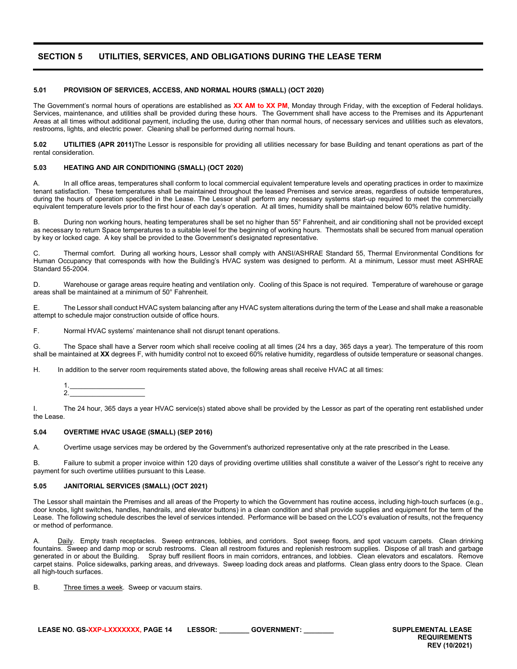# <span id="page-13-0"></span>**SECTION 5 UTILITIES, SERVICES, AND OBLIGATIONS DURING THE LEASE TERM**

#### <span id="page-13-1"></span>**5.01 PROVISION OF SERVICES, ACCESS, AND NORMAL HOURS (SMALL) (OCT 2020)**

The Government's normal hours of operations are established as **XX AM to XX PM**, Monday through Friday, with the exception of Federal holidays. Services, maintenance, and utilities shall be provided during these hours. The Government shall have access to the Premises and its Appurtenant Areas at all times without additional payment, including the use, during other than normal hours, of necessary services and utilities such as elevators, restrooms, lights, and electric power. Cleaning shall be performed during normal hours.

<span id="page-13-2"></span>**5.02 UTILITIES (APR 2011)**The Lessor is responsible for providing all utilities necessary for base Building and tenant operations as part of the rental consideration.

#### <span id="page-13-3"></span>**5.03 HEATING AND AIR CONDITIONING (SMALL) (OCT 2020)**

A. In all office areas, temperatures shall conform to local commercial equivalent temperature levels and operating practices in order to maximize tenant satisfaction. These temperatures shall be maintained throughout the leased Premises and service areas, regardless of outside temperatures, during the hours of operation specified in the Lease. The Lessor shall perform any necessary systems start-up required to meet the commercially equivalent temperature levels prior to the first hour of each day's operation. At all times, humidity shall be maintained below 60% relative humidity.

B. During non working hours, heating temperatures shall be set no higher than 55° Fahrenheit, and air conditioning shall not be provided except as necessary to return Space temperatures to a suitable level for the beginning of working hours. Thermostats shall be secured from manual operation by key or locked cage. A key shall be provided to the Government's designated representative.

C. Thermal comfort. During all working hours, Lessor shall comply with ANSI/ASHRAE Standard 55, Thermal Environmental Conditions for Human Occupancy that corresponds with how the Building's HVAC system was designed to perform. At a minimum, Lessor must meet ASHRAE Standard 55-2004.

D. Warehouse or garage areas require heating and ventilation only. Cooling of this Space is not required. Temperature of warehouse or garage areas shall be maintained at a minimum of 50° Fahrenheit.

E. The Lessor shall conduct HVAC system balancing after any HVAC system alterations during the term of the Lease and shall make a reasonable attempt to schedule major construction outside of office hours.

F. Normal HVAC systems' maintenance shall not disrupt tenant operations.

G. The Space shall have a Server room which shall receive cooling at all times (24 hrs a day, 365 days a year). The temperature of this room shall be maintained at **XX** degrees F, with humidity control not to exceed 60% relative humidity, regardless of outside temperature or seasonal changes.

H. In addition to the server room requirements stated above, the following areas shall receive HVAC at all times:

1.\_\_\_\_\_\_\_\_\_\_\_\_\_\_\_\_\_\_\_\_ 2.\_\_\_\_\_\_\_\_\_\_\_\_\_\_\_\_\_\_\_\_

I. The 24 hour, 365 days a year HVAC service(s) stated above shall be provided by the Lessor as part of the operating rent established under the Lease.

#### <span id="page-13-4"></span>**5.04 OVERTIME HVAC USAGE (SMALL) (SEP 2016)**

A. Overtime usage services may be ordered by the Government's authorized representative only at the rate prescribed in the Lease.

B. Failure to submit a proper invoice within 120 days of providing overtime utilities shall constitute a waiver of the Lessor's right to receive any payment for such overtime utilities pursuant to this Lease.

#### <span id="page-13-5"></span>**5.05 JANITORIAL SERVICES (SMALL) (OCT 2021)**

The Lessor shall maintain the Premises and all areas of the Property to which the Government has routine access, including high-touch surfaces (e.g., door knobs, light switches, handles, handrails, and elevator buttons) in a clean condition and shall provide supplies and equipment for the term of the Lease. The following schedule describes the level of services intended. Performance will be based on the LCO's evaluation of results, not the frequency or method of performance.

A. Daily. Empty trash receptacles. Sweep entrances, lobbies, and corridors. Spot sweep floors, and spot vacuum carpets. Clean drinking fountains. Sweep and damp mop or scrub restrooms. Clean all restroom fixtures and replenish restroom supplies. Dispose of all trash and garbage generated in or about the Building. Spray buff resilient floors in main corridors, entrances, and lobbies. Clean elevators and escalators. Remove carpet stains. Police sidewalks, parking areas, and driveways. Sweep loading dock areas and platforms. Clean glass entry doors to the Space. Clean all high-touch surfaces.

B. Three times a week. Sweep or vacuum stairs.

**LEASE NO. GS-XXP-LXXXXXXX, PAGE 14 LESSOR: \_\_\_\_\_\_\_\_ GOVERNMENT: \_\_\_\_\_\_\_\_ SUPPLEMENTAL LEASE**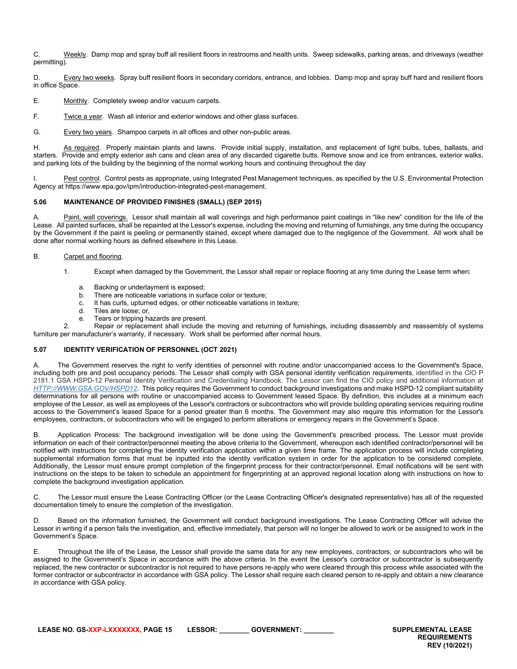C. Weekly. Damp mop and spray buff all resilient floors in restrooms and health units. Sweep sidewalks, parking areas, and driveways (weather permitting).

D. Every two weeks. Spray buff resilient floors in secondary corridors, entrance, and lobbies. Damp mop and spray buff hard and resilient floors in office Space.

E. Monthly. Completely sweep and/or vacuum carpets.

F. Twice a year. Wash all interior and exterior windows and other glass surfaces.

G. Every two years. Shampoo carpets in all offices and other non-public areas.

H. As required. Properly maintain plants and lawns. Provide initial supply, installation, and replacement of light bulbs, tubes, ballasts, and starters. Provide and empty exterior ash cans and clean area of any discarded cigarette butts. Remove snow and ice from entrances, exterior walks, and parking lots of the building by the beginning of the normal working hours and continuing throughout the day

I. Pest control. Control pests as appropriate, using Integrated Pest Management techniques, as specified by the U.S. Environmental Protection Agency at https://www.epa.gov/ipm/introduction-integrated-pest-management.

## <span id="page-14-0"></span>**5.06 MAINTENANCE OF PROVIDED FINISHES (SMALL) (SEP 2015)**

Paint, wall coverings. Lessor shall maintain all wall coverings and high performance paint coatings in "like new" condition for the life of the Lease. All painted surfaces, shall be repainted at the Lessor's expense, including the moving and returning of furnishings, any time during the occupancy by the Government if the paint is peeling or permanently stained, except where damaged due to the negligence of the Government. All work shall be done after normal working hours as defined elsewhere in this Lease.

## B. Carpet and flooring.

- 1. Except when damaged by the Government, the Lessor shall repair or replace flooring at any time during the Lease term when:
	- a. Backing or underlayment is exposed;
	- b. There are noticeable variations in surface color or texture;
	- c. It has curls, upturned edges, or other noticeable variations in texture;<br>d. Tiles are loose: or
	- Tiles are loose; or,
	- e. Tears or tripping hazards are present.

2. Repair or replacement shall include the moving and returning of furnishings, including disassembly and reassembly of systems furniture per manufacturer's warranty, if necessary. Work shall be performed after normal hours.

# <span id="page-14-1"></span>**5.07 IDENTITY VERIFICATION OF PERSONNEL (OCT 2021)**

A. The Government reserves the right to verify identities of personnel with routine and/or unaccompanied access to the Government's Space, including both pre and post occupancy periods. The Lessor shall comply with GSA personal identity verification requirements, identified in the CIO P 2181.1 GSA HSPD-12 Personal Identity Verification and Credentialing Handbook. The Lessor can find the CIO policy and additional information at *[HTTP://WWW.GSA.GOV/HSPD12](http://www.gsa.gov/hspd12)*. This policy requires the Government to conduct background investigations and make HSPD-12 compliant suitability determinations for all persons with routine or unaccompanied access to Government leased Space. By definition, this includes at a minimum each employee of the Lessor, as well as employees of the Lessor's contractors or subcontractors who will provide building operating services requiring routine access to the Government's leased Space for a period greater than 6 months. The Government may also require this information for the Lessor's employees, contractors, or subcontractors who will be engaged to perform alterations or emergency repairs in the Government's Space.

B. Application Process: The background investigation will be done using the Government's prescribed process. The Lessor must provide information on each of their contractor/personnel meeting the above criteria to the Government, whereupon each identified contractor/personnel will be notified with instructions for completing the identity verification application within a given time frame. The application process will include completing supplemental information forms that must be inputted into the identity verification system in order for the application to be considered complete. Additionally, the Lessor must ensure prompt completion of the fingerprint process for their contractor/personnel. Email notifications will be sent with instructions on the steps to be taken to schedule an appointment for fingerprinting at an approved regional location along with instructions on how to complete the background investigation application.

C. The Lessor must ensure the Lease Contracting Officer (or the Lease Contracting Officer's designated representative) has all of the requested documentation timely to ensure the completion of the investigation.

D. Based on the information furnished, the Government will conduct background investigations. The Lease Contracting Officer will advise the Lessor in writing if a person fails the investigation, and, effective immediately, that person will no longer be allowed to work or be assigned to work in the Government's Space.

E. Throughout the life of the Lease, the Lessor shall provide the same data for any new employees, contractors, or subcontractors who will be assigned to the Government's Space in accordance with the above criteria. In the event the Lessor's contractor or subcontractor is subsequently replaced, the new contractor or subcontractor is not required to have persons re-apply who were cleared through this process while associated with the former contractor or subcontractor in accordance with GSA policy. The Lessor shall require each cleared person to re-apply and obtain a new clearance in accordance with GSA policy.

**LEASE NO. GS-XXP-LXXXXXXX, PAGE 15 LESSOR: \_\_\_\_\_\_\_\_ GOVERNMENT: \_\_\_\_\_\_\_\_ SUPPLEMENTAL LEASE**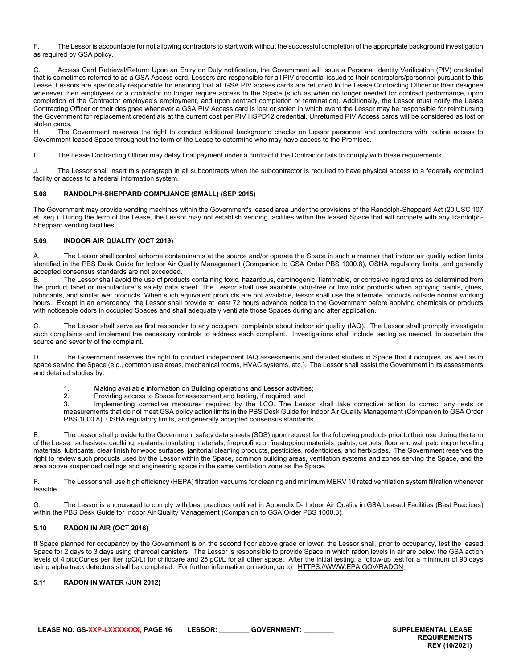F. The Lessor is accountable for not allowing contractors to start work without the successful completion of the appropriate background investigation as required by GSA policy.

G. Access Card Retrieval/Return: Upon an Entry on Duty notification, the Government will issue a Personal Identity Verification (PIV) credential that is sometimes referred to as a GSA Access card. Lessors are responsible for all PIV credential issued to their contractors/personnel pursuant to this Lease. Lessors are specifically responsible for ensuring that all GSA PIV access cards are returned to the Lease Contracting Officer or their designee whenever their employees or a contractor no longer require access to the Space (such as when no longer needed for contract performance, upon completion of the Contractor employee's employment, and upon contract completion or termination). Additionally, the Lessor must notify the Lease Contracting Officer or their designee whenever a GSA PIV Access card is lost or stolen in which event the Lessor may be responsible for reimbursing the Government for replacement credentials at the current cost per PIV HSPD12 credential. Unreturned PIV Access cards will be considered as lost or stolen cards.<br>H. The

The Government reserves the right to conduct additional background checks on Lessor personnel and contractors with routine access to Government leased Space throughout the term of the Lease to determine who may have access to the Premises.

I. The Lease Contracting Officer may delay final payment under a contract if the Contractor fails to comply with these requirements.

J. The Lessor shall insert this paragraph in all subcontracts when the subcontractor is required to have physical access to a federally controlled facility or access to a federal information system.

## <span id="page-15-0"></span>**5.08 RANDOLPH-SHEPPARD COMPLIANCE (SMALL) (SEP 2015)**

The Government may provide vending machines within the Government's leased area under the provisions of the Randolph-Sheppard Act (20 USC 107 et. seq.). During the term of the Lease, the Lessor may not establish vending facilities within the leased Space that will compete with any Randolph-Sheppard vending facilities.

## <span id="page-15-1"></span>**5.09 INDOOR AIR QUALITY (OCT 2019)**

A. The Lessor shall control airborne contaminants at the source and/or operate the Space in such a manner that indoor air quality action limits identified in the PBS Desk Guide for Indoor Air Quality Management (Companion to GSA Order PBS 1000.8), OSHA regulatory limits, and generally accepted consensus standards are not exceeded.

B. The Lessor shall avoid the use of products containing toxic, hazardous, carcinogenic, flammable, or corrosive ingredients as determined from the product label or manufacturer's safety data sheet. The Lessor shall use available odor-free or low odor products when applying paints, glues, lubricants, and similar wet products. When such equivalent products are not available, lessor shall use the alternate products outside normal working hours. Except in an emergency, the Lessor shall provide at least 72 hours advance notice to the Government before applying chemicals or products with noticeable odors in occupied Spaces and shall adequately ventilate those Spaces during and after application.

C. The Lessor shall serve as first responder to any occupant complaints about indoor air quality (IAQ). The Lessor shall promptly investigate such complaints and implement the necessary controls to address each complaint. Investigations shall include testing as needed, to ascertain the source and severity of the complaint.

D. The Government reserves the right to conduct independent IAQ assessments and detailed studies in Space that it occupies, as well as in space serving the Space (e.g., common use areas, mechanical rooms, HVAC systems, etc.). The Lessor shall assist the Government in its assessments and detailed studies by:

- 1. Making available information on Building operations and Lessor activities;
- 2. Providing access to Space for assessment and testing, if required; and<br>3 **by Implementing corrective measures** required by the LCO. The Less

Implementing corrective measures required by the LCO. The Lessor shall take corrective action to correct any tests or measurements that do not meet GSA policy action limits in the PBS Desk Guide for Indoor Air Quality Management (Companion to GSA Order PBS 1000.8), OSHA regulatory limits, and generally accepted consensus standards.

E. The Lessor shall provide to the Government safety data sheets (SDS) upon request for the following products prior to their use during the term of the Lease: adhesives, caulking, sealants, insulating materials, fireproofing or firestopping materials, paints, carpets, floor and wall patching or leveling materials, lubricants, clear finish for wood surfaces, janitorial cleaning products, pesticides, rodenticides, and herbicides. The Government reserves the right to review such products used by the Lessor within the Space, common building areas, ventilation systems and zones serving the Space, and the area above suspended ceilings and engineering space in the same ventilation zone as the Space.

F. The Lessor shall use high efficiency (HEPA) filtration vacuums for cleaning and minimum MERV 10 rated ventilation system filtration whenever feasible.

G. The Lessor is encouraged to comply with best practices outlined in Appendix D- Indoor Air Quality in GSA Leased Facilities (Best Practices) within the PBS Desk Guide for Indoor Air Quality Management (Companion to GSA Order PBS 1000.8).

## <span id="page-15-2"></span>**5.10 RADON IN AIR (OCT 2016)**

If Space planned for occupancy by the Government is on the second floor above grade or lower, the Lessor shall, prior to occupancy, test the leased Space for 2 days to 3 days using charcoal canisters. The Lessor is responsible to provide Space in which radon levels in air are below the GSA action levels of 4 picoCuries per liter (pCi/L) for childcare and 25 pCi/L for all other space. After the initial testing, a follow-up test for a minimum of 90 days using alpha track detectors shall be completed. For further information on radon, go to: HTTPS://WWW.EPA.GOV/RADON.

## <span id="page-15-3"></span>**5.11 RADON IN WATER (JUN 2012)**

**LEASE NO. GS-XXP-LXXXXXXX, PAGE 16 LESSOR: \_\_\_\_\_\_\_\_ GOVERNMENT: \_\_\_\_\_\_\_\_ SUPPLEMENTAL LEASE**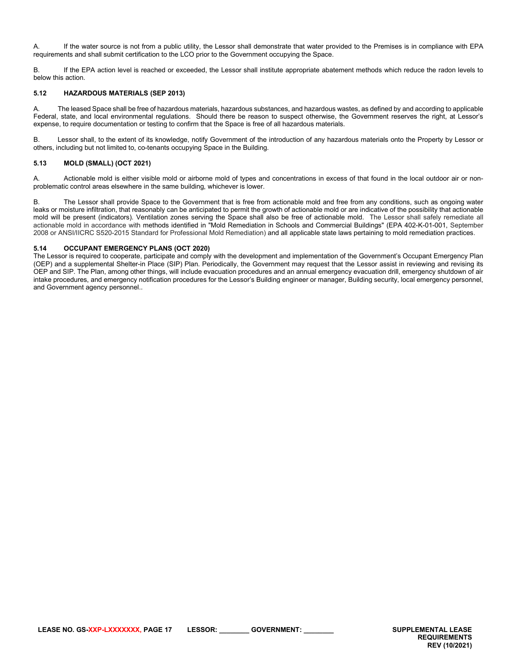A. If the water source is not from a public utility, the Lessor shall demonstrate that water provided to the Premises is in compliance with EPA requirements and shall submit certification to the LCO prior to the Government occupying the Space.

B. If the EPA action level is reached or exceeded, the Lessor shall institute appropriate abatement methods which reduce the radon levels to below this action.

## <span id="page-16-0"></span>**5.12 HAZARDOUS MATERIALS (SEP 2013)**

A. The leased Space shall be free of hazardous materials, hazardous substances, and hazardous wastes, as defined by and according to applicable Federal, state, and local environmental regulations. Should there be reason to suspect otherwise, the Government reserves the right, at Lessor's expense, to require documentation or testing to confirm that the Space is free of all hazardous materials.

B. Lessor shall, to the extent of its knowledge, notify Government of the introduction of any hazardous materials onto the Property by Lessor or others, including but not limited to, co-tenants occupying Space in the Building.

# <span id="page-16-1"></span>**5.13 MOLD (SMALL) (OCT 2021)**

A. Actionable mold is either visible mold or airborne mold of types and concentrations in excess of that found in the local outdoor air or nonproblematic control areas elsewhere in the same building, whichever is lower.

B. The Lessor shall provide Space to the Government that is free from actionable mold and free from any conditions, such as ongoing water leaks or moisture infiltration, that reasonably can be anticipated to permit the growth of actionable mold or are indicative of the possibility that actionable mold will be present (indicators). Ventilation zones serving the Space shall also be free of actionable mold. The Lessor shall safely remediate all actionable mold in accordance with methods identified in "Mold Remediation in Schools and Commercial Buildings" (EPA 402-K-01-001, September 2008 or ANSI/IICRC S520-2015 Standard for Professional Mold Remediation) and all applicable state laws pertaining to mold remediation practices.

## <span id="page-16-2"></span>**5.14 OCCUPANT EMERGENCY PLANS (OCT 2020)**

The Lessor is required to cooperate, participate and comply with the development and implementation of the Government's Occupant Emergency Plan (OEP) and a supplemental Shelter-in Place (SIP) Plan. Periodically, the Government may request that the Lessor assist in reviewing and revising its OEP and SIP. The Plan, among other things, will include evacuation procedures and an annual emergency evacuation drill, emergency shutdown of air intake procedures, and emergency notification procedures for the Lessor's Building engineer or manager, Building security, local emergency personnel, and Government agency personnel..